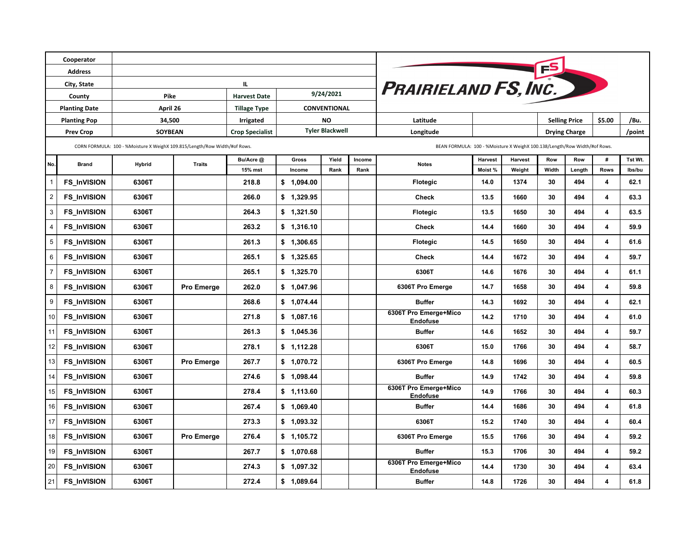| Cooperator           |                    |                                                                           |                     |                        |                        |                |           |                      |                                                                           |                |                      |                      |        |                         |         |
|----------------------|--------------------|---------------------------------------------------------------------------|---------------------|------------------------|------------------------|----------------|-----------|----------------------|---------------------------------------------------------------------------|----------------|----------------------|----------------------|--------|-------------------------|---------|
| <b>Address</b>       |                    |                                                                           |                     |                        |                        |                |           |                      |                                                                           |                |                      |                      |        |                         |         |
| City, State          |                    | Ш.                                                                        |                     |                        |                        |                |           | PRAIRIELAND FS, INC. |                                                                           |                |                      |                      |        |                         |         |
| County               |                    | Pike                                                                      | <b>Harvest Date</b> | 9/24/2021              |                        |                |           |                      |                                                                           |                |                      |                      |        |                         |         |
| <b>Planting Date</b> |                    | April 26                                                                  |                     | <b>Tillage Type</b>    | <b>CONVENTIONAL</b>    |                |           |                      |                                                                           |                |                      |                      |        |                         |         |
| <b>Planting Pop</b>  |                    | 34,500                                                                    |                     | <b>Irrigated</b>       |                        |                | <b>NO</b> |                      | Latitude                                                                  |                |                      | <b>Selling Price</b> |        | \$5.00                  | /Bu.    |
| <b>Prev Crop</b>     |                    | SOYBEAN                                                                   |                     | <b>Crop Specialist</b> | <b>Tyler Blackwell</b> |                |           | Longitude            |                                                                           |                | <b>Drying Charge</b> |                      |        | /point                  |         |
|                      |                    | CORN FORMULA: 100 - %Moisture X WeighX 109.815/Length/Row Width/#of Rows. |                     |                        |                        |                |           |                      | BEAN FORMULA: 100 - %Moisture X WeighX 100.138/Length/Row Width/#of Rows. |                |                      |                      |        |                         |         |
| No.<br><b>Brand</b>  |                    | <b>Hybrid</b>                                                             | <b>Traits</b>       | Bu/Acre @              |                        | Yield<br>Gross |           | Income               | <b>Notes</b>                                                              | <b>Harvest</b> | Harvest              | Row                  | Row    | #                       | Tst Wt. |
|                      |                    |                                                                           |                     | 15% mst                |                        | Income         | Rank      | Rank                 |                                                                           | Moist%         | Weight               | Width                | Length | <b>Rows</b>             | lbs/bu  |
|                      | <b>FS InVISION</b> | 6306T                                                                     |                     | 218.8                  |                        | \$1,094.00     |           |                      | <b>Flotegic</b>                                                           | 14.0           | 1374                 | 30                   | 494    | 4                       | 62.1    |
| 2                    | <b>FS InVISION</b> | 6306T                                                                     |                     | 266.0                  |                        | \$1,329.95     |           |                      | <b>Check</b>                                                              | 13.5           | 1660                 | 30                   | 494    | $\overline{\mathbf{4}}$ | 63.3    |
| 3                    | <b>FS InVISION</b> | 6306T                                                                     |                     | 264.3                  |                        | \$1,321.50     |           |                      | Flotegic                                                                  | 13.5           | 1650                 | 30                   | 494    | $\overline{\mathbf{4}}$ | 63.5    |
| 4                    | <b>FS InVISION</b> | 6306T                                                                     |                     | 263.2                  |                        | \$1,316.10     |           |                      | <b>Check</b>                                                              | 14.4           | 1660                 | 30                   | 494    | $\overline{\mathbf{4}}$ | 59.9    |
| 5                    | <b>FS InVISION</b> | 6306T                                                                     |                     | 261.3                  |                        | \$1,306.65     |           |                      | <b>Flotegic</b>                                                           | 14.5           | 1650                 | 30                   | 494    | $\overline{\mathbf{4}}$ | 61.6    |
| 6                    | <b>FS InVISION</b> | 6306T                                                                     |                     | 265.1                  |                        | \$1,325.65     |           |                      | <b>Check</b>                                                              | 14.4           | 1672                 | 30                   | 494    | $\overline{\mathbf{4}}$ | 59.7    |
| $\overline{7}$       | <b>FS InVISION</b> | 6306T                                                                     |                     | 265.1                  |                        | \$1,325.70     |           |                      | 6306T                                                                     | 14.6           | 1676                 | 30                   | 494    | 4                       | 61.1    |
| 8                    | <b>FS InVISION</b> | 6306T                                                                     | Pro Emerge          | 262.0                  |                        | \$1,047.96     |           |                      | 6306T Pro Emerge                                                          | 14.7           | 1658                 | 30                   | 494    | 4                       | 59.8    |
| 9                    | <b>FS_InVISION</b> | 6306T                                                                     |                     | 268.6                  |                        | \$1,074.44     |           |                      | <b>Buffer</b>                                                             | 14.3           | 1692                 | 30                   | 494    | 4                       | 62.1    |
| 10                   | <b>FS_InVISION</b> | 6306T                                                                     |                     | 271.8                  |                        | \$1,087.16     |           |                      | 6306T Pro Emerge+Mico<br><b>Endofuse</b>                                  | 14.2           | 1710                 | 30                   | 494    | $\overline{\mathbf{4}}$ | 61.0    |
| 11                   | <b>FS InVISION</b> | 6306T                                                                     |                     | 261.3                  |                        | \$1,045.36     |           |                      | <b>Buffer</b>                                                             | 14.6           | 1652                 | 30                   | 494    | $\overline{\mathbf{4}}$ | 59.7    |
| 12                   | <b>FS InVISION</b> | 6306T                                                                     |                     | 278.1                  |                        | \$1,112.28     |           |                      | 6306T                                                                     | 15.0           | 1766                 | 30                   | 494    | $\overline{\mathbf{4}}$ | 58.7    |
| 13                   | <b>FS InVISION</b> | 6306T                                                                     | Pro Emerge          | 267.7                  |                        | \$1,070.72     |           |                      | 6306T Pro Emerge                                                          | 14.8           | 1696                 | 30                   | 494    | 4                       | 60.5    |
| 14                   | <b>FS InVISION</b> | 6306T                                                                     |                     | 274.6                  |                        | \$1,098.44     |           |                      | <b>Buffer</b>                                                             | 14.9           | 1742                 | 30                   | 494    | $\overline{\mathbf{4}}$ | 59.8    |
| 15                   | <b>FS InVISION</b> | 6306T                                                                     |                     | 278.4                  |                        | \$1,113.60     |           |                      | 6306T Pro Emerge+Mico<br><b>Endofuse</b>                                  | 14.9           | 1766                 | 30                   | 494    | 4                       | 60.3    |
| 16                   | <b>FS_InVISION</b> | 6306T                                                                     |                     | 267.4                  |                        | \$1,069.40     |           |                      | <b>Buffer</b>                                                             | 14.4           | 1686                 | 30                   | 494    | 4                       | 61.8    |
| 17                   | <b>FS_InVISION</b> | 6306T                                                                     |                     | 273.3                  |                        | \$1,093.32     |           |                      | 6306T                                                                     | 15.2           | 1740                 | 30                   | 494    | 4                       | 60.4    |
| 18                   | <b>FS_InVISION</b> | 6306T                                                                     | Pro Emerge          | 276.4                  |                        | \$1,105.72     |           |                      | 6306T Pro Emerge                                                          | 15.5           | 1766                 | 30                   | 494    | 4                       | 59.2    |
| 19                   | <b>FS_InVISION</b> | 6306T                                                                     |                     | 267.7                  |                        | \$1,070.68     |           |                      | <b>Buffer</b>                                                             | 15.3           | 1706                 | 30                   | 494    | $\overline{\mathbf{4}}$ | 59.2    |
| 20                   | <b>FS_InVISION</b> | 6306T                                                                     |                     | 274.3                  |                        | \$1,097.32     |           |                      | 6306T Pro Emerge+Mico<br><b>Endofuse</b>                                  | 14.4           | 1730                 | 30                   | 494    | 4                       | 63.4    |
| 21                   | <b>FS_InVISION</b> | 6306T                                                                     |                     | 272.4                  |                        | \$1,089.64     |           |                      | <b>Buffer</b>                                                             | 14.8           | 1726                 | 30                   | 494    | 4                       | 61.8    |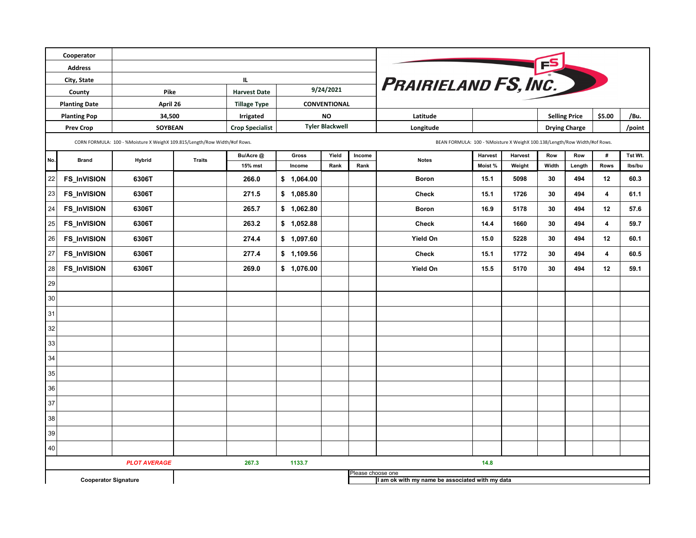|                                                | Cooperator                  |                                                                           |               |                        |                                                                           |               |                   |                                                 |                   |                   |              |                      |                         |                   |  |  |  |  |  |  |
|------------------------------------------------|-----------------------------|---------------------------------------------------------------------------|---------------|------------------------|---------------------------------------------------------------------------|---------------|-------------------|-------------------------------------------------|-------------------|-------------------|--------------|----------------------|-------------------------|-------------------|--|--|--|--|--|--|
| <b>Address</b>                                 |                             |                                                                           |               |                        |                                                                           |               |                   |                                                 |                   |                   |              |                      |                         |                   |  |  |  |  |  |  |
| City, State                                    |                             |                                                                           | IL.           |                        |                                                                           |               |                   |                                                 |                   |                   |              |                      |                         |                   |  |  |  |  |  |  |
| County                                         |                             | Pike                                                                      |               | <b>Harvest Date</b>    | 9/24/2021                                                                 |               |                   | PRAIRIELAND FS, INC.                            |                   |                   |              |                      |                         |                   |  |  |  |  |  |  |
| <b>Planting Date</b>                           |                             | April 26                                                                  |               | <b>Tillage Type</b>    | CONVENTIONAL                                                              |               |                   |                                                 |                   |                   |              |                      |                         |                   |  |  |  |  |  |  |
|                                                | <b>Planting Pop</b>         | 34,500                                                                    |               | <b>Irrigated</b>       |                                                                           | <b>NO</b>     |                   | Latitude                                        |                   |                   |              | <b>Selling Price</b> | \$5.00                  | /Bu.              |  |  |  |  |  |  |
| <b>Prev Crop</b>                               |                             | SOYBEAN                                                                   |               | <b>Crop Specialist</b> | <b>Tyler Blackwell</b>                                                    |               |                   | Longitude                                       |                   |                   |              | <b>Drying Charge</b> |                         | /point            |  |  |  |  |  |  |
|                                                |                             | CORN FORMULA: 100 - %Moisture X WeighX 109.815/Length/Row Width/#of Rows. |               |                        | BEAN FORMULA: 100 - %Moisture X WeighX 100.138/Length/Row Width/#of Rows. |               |                   |                                                 |                   |                   |              |                      |                         |                   |  |  |  |  |  |  |
| No.                                            | <b>Brand</b>                | <b>Hybrid</b>                                                             | <b>Traits</b> | Bu/Acre @<br>15% mst   | Gross<br>Income                                                           | Yield<br>Rank | Income<br>Rank    | <b>Notes</b>                                    | Harvest<br>Moist% | Harvest<br>Weight | Row<br>Width | Row<br>Length        | #<br><b>Rows</b>        | Tst Wt.<br>Ibs/bu |  |  |  |  |  |  |
| 22                                             | FS_InVISION                 | 6306T                                                                     |               | 266.0                  | \$1,064.00                                                                |               |                   | <b>Boron</b>                                    | 15.1              | 5098              | 30           | 494                  | 12                      | 60.3              |  |  |  |  |  |  |
| 23                                             | FS_InVISION                 | 6306T                                                                     |               | 271.5                  | \$1,085.80                                                                |               |                   | <b>Check</b>                                    | 15.1              | 1726              | 30           | 494                  | $\overline{\mathbf{4}}$ | 61.1              |  |  |  |  |  |  |
| 24                                             | FS_InVISION                 | 6306T                                                                     |               | 265.7                  | \$1,062.80                                                                |               |                   | <b>Boron</b>                                    | 16.9              | 5178              | 30           | 494                  | 12                      | 57.6              |  |  |  |  |  |  |
| 25                                             | FS_InVISION                 | 6306T                                                                     |               | 263.2                  | \$1,052.88                                                                |               |                   | Check                                           | 14.4              | 1660              | 30           | 494                  | $\overline{4}$          | 59.7              |  |  |  |  |  |  |
| 26                                             | <b>FS_InVISION</b>          | 6306T                                                                     |               | 274.4                  | \$1,097.60                                                                |               |                   | Yield On                                        | 15.0              | 5228              | 30           | 494                  | 12                      | 60.1              |  |  |  |  |  |  |
| 27                                             | <b>FS_InVISION</b>          | 6306T                                                                     |               | 277.4                  | \$1,109.56                                                                |               |                   | <b>Check</b>                                    | 15.1              | 1772              | 30           | 494                  | $\overline{\mathbf{4}}$ | 60.5              |  |  |  |  |  |  |
| 28                                             | <b>FS_InVISION</b>          | 6306T                                                                     |               | 269.0                  | \$1,076.00                                                                |               |                   | Yield On                                        | 15.5              | 5170              | 30           | 494                  | 12                      | 59.1              |  |  |  |  |  |  |
| 29                                             |                             |                                                                           |               |                        |                                                                           |               |                   |                                                 |                   |                   |              |                      |                         |                   |  |  |  |  |  |  |
| 30                                             |                             |                                                                           |               |                        |                                                                           |               |                   |                                                 |                   |                   |              |                      |                         |                   |  |  |  |  |  |  |
| 31                                             |                             |                                                                           |               |                        |                                                                           |               |                   |                                                 |                   |                   |              |                      |                         |                   |  |  |  |  |  |  |
| 32                                             |                             |                                                                           |               |                        |                                                                           |               |                   |                                                 |                   |                   |              |                      |                         |                   |  |  |  |  |  |  |
| 33                                             |                             |                                                                           |               |                        |                                                                           |               |                   |                                                 |                   |                   |              |                      |                         |                   |  |  |  |  |  |  |
| 34                                             |                             |                                                                           |               |                        |                                                                           |               |                   |                                                 |                   |                   |              |                      |                         |                   |  |  |  |  |  |  |
| 35                                             |                             |                                                                           |               |                        |                                                                           |               |                   |                                                 |                   |                   |              |                      |                         |                   |  |  |  |  |  |  |
| 36                                             |                             |                                                                           |               |                        |                                                                           |               |                   |                                                 |                   |                   |              |                      |                         |                   |  |  |  |  |  |  |
| 37                                             |                             |                                                                           |               |                        |                                                                           |               |                   |                                                 |                   |                   |              |                      |                         |                   |  |  |  |  |  |  |
| 38                                             |                             |                                                                           |               |                        |                                                                           |               |                   |                                                 |                   |                   |              |                      |                         |                   |  |  |  |  |  |  |
| 39                                             |                             |                                                                           |               |                        |                                                                           |               |                   |                                                 |                   |                   |              |                      |                         |                   |  |  |  |  |  |  |
| 40                                             |                             |                                                                           |               |                        |                                                                           |               |                   |                                                 |                   |                   |              |                      |                         |                   |  |  |  |  |  |  |
| <b>PLOT AVERAGE</b><br>267.3<br>1133.7<br>14.8 |                             |                                                                           |               |                        |                                                                           |               |                   |                                                 |                   |                   |              |                      |                         |                   |  |  |  |  |  |  |
|                                                | <b>Cooperator Signature</b> |                                                                           |               |                        |                                                                           |               | Please choose one | I am ok with my name be associated with my data |                   |                   |              |                      |                         |                   |  |  |  |  |  |  |